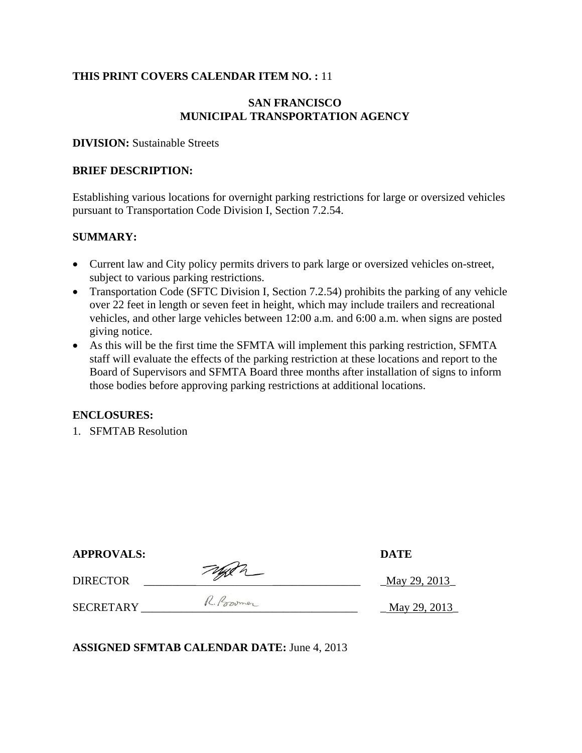## **THIS PRINT COVERS CALENDAR ITEM NO. :** 11

### **SAN FRANCISCO MUNICIPAL TRANSPORTATION AGENCY**

### **DIVISION:** Sustainable Streets

#### **BRIEF DESCRIPTION:**

Establishing various locations for overnight parking restrictions for large or oversized vehicles pursuant to Transportation Code Division I, Section 7.2.54.

### **SUMMARY:**

- Current law and City policy permits drivers to park large or oversized vehicles on-street, subject to various parking restrictions.
- Transportation Code (SFTC Division I, Section 7.2.54) prohibits the parking of any vehicle over 22 feet in length or seven feet in height, which may include trailers and recreational vehicles, and other large vehicles between 12:00 a.m. and 6:00 a.m. when signs are posted giving notice.
- As this will be the first time the SFMTA will implement this parking restriction, SFMTA staff will evaluate the effects of the parking restriction at these locations and report to the Board of Supervisors and SFMTA Board three months after installation of signs to inform those bodies before approving parking restrictions at additional locations.

### **ENCLOSURES:**

1. SFMTAB Resolution

| <b>APPROVALS:</b> |            | <b>DATE</b>  |
|-------------------|------------|--------------|
| <b>DIRECTOR</b>   | Typen      | May 29, 2013 |
| <b>SECRETARY</b>  | R. Poromer | May 29, 2013 |

**ASSIGNED SFMTAB CALENDAR DATE:** June 4, 2013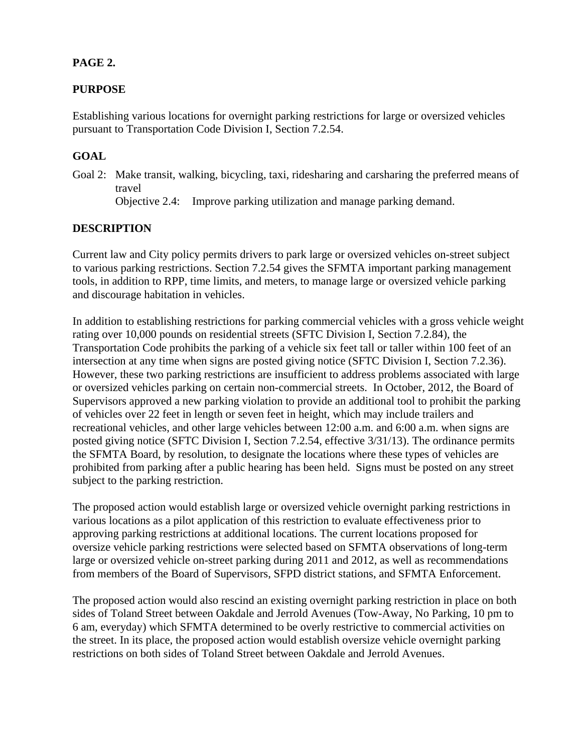# **PAGE 2.**

# **PURPOSE**

Establishing various locations for overnight parking restrictions for large or oversized vehicles pursuant to Transportation Code Division I, Section 7.2.54.

# **GOAL**

Goal 2: Make transit, walking, bicycling, taxi, ridesharing and carsharing the preferred means of travel Objective 2.4: Improve parking utilization and manage parking demand.

# **DESCRIPTION**

Current law and City policy permits drivers to park large or oversized vehicles on-street subject to various parking restrictions. Section 7.2.54 gives the SFMTA important parking management tools, in addition to RPP, time limits, and meters, to manage large or oversized vehicle parking and discourage habitation in vehicles.

In addition to establishing restrictions for parking commercial vehicles with a gross vehicle weight rating over 10,000 pounds on residential streets (SFTC Division I, Section 7.2.84), the Transportation Code prohibits the parking of a vehicle six feet tall or taller within 100 feet of an intersection at any time when signs are posted giving notice (SFTC Division I, Section 7.2.36). However, these two parking restrictions are insufficient to address problems associated with large or oversized vehicles parking on certain non-commercial streets. In October, 2012, the Board of Supervisors approved a new parking violation to provide an additional tool to prohibit the parking of vehicles over 22 feet in length or seven feet in height, which may include trailers and recreational vehicles, and other large vehicles between 12:00 a.m. and 6:00 a.m. when signs are posted giving notice (SFTC Division I, Section 7.2.54, effective 3/31/13). The ordinance permits the SFMTA Board, by resolution, to designate the locations where these types of vehicles are prohibited from parking after a public hearing has been held. Signs must be posted on any street subject to the parking restriction.

The proposed action would establish large or oversized vehicle overnight parking restrictions in various locations as a pilot application of this restriction to evaluate effectiveness prior to approving parking restrictions at additional locations. The current locations proposed for oversize vehicle parking restrictions were selected based on SFMTA observations of long-term large or oversized vehicle on-street parking during 2011 and 2012, as well as recommendations from members of the Board of Supervisors, SFPD district stations, and SFMTA Enforcement.

The proposed action would also rescind an existing overnight parking restriction in place on both sides of Toland Street between Oakdale and Jerrold Avenues (Tow-Away, No Parking, 10 pm to 6 am, everyday) which SFMTA determined to be overly restrictive to commercial activities on the street. In its place, the proposed action would establish oversize vehicle overnight parking restrictions on both sides of Toland Street between Oakdale and Jerrold Avenues.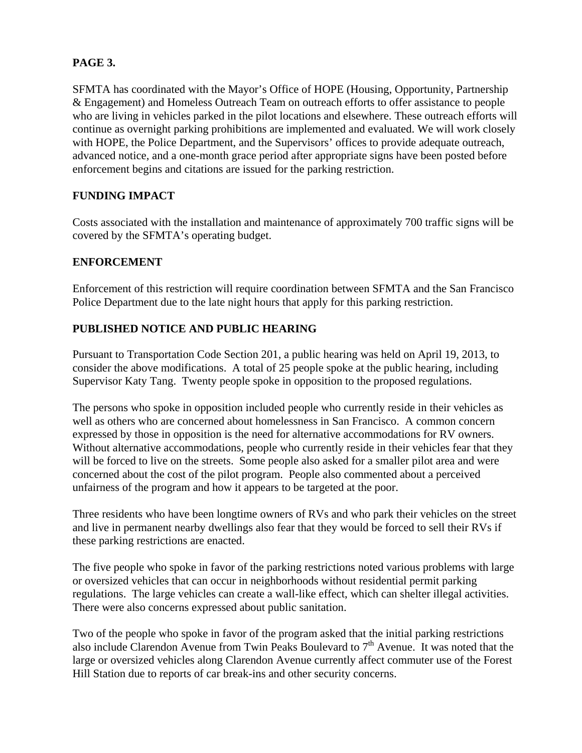# **PAGE 3.**

SFMTA has coordinated with the Mayor's Office of HOPE (Housing, Opportunity, Partnership & Engagement) and Homeless Outreach Team on outreach efforts to offer assistance to people who are living in vehicles parked in the pilot locations and elsewhere. These outreach efforts will continue as overnight parking prohibitions are implemented and evaluated. We will work closely with HOPE, the Police Department, and the Supervisors' offices to provide adequate outreach, advanced notice, and a one-month grace period after appropriate signs have been posted before enforcement begins and citations are issued for the parking restriction.

## **FUNDING IMPACT**

Costs associated with the installation and maintenance of approximately 700 traffic signs will be covered by the SFMTA's operating budget.

## **ENFORCEMENT**

Enforcement of this restriction will require coordination between SFMTA and the San Francisco Police Department due to the late night hours that apply for this parking restriction.

## **PUBLISHED NOTICE AND PUBLIC HEARING**

Pursuant to Transportation Code Section 201, a public hearing was held on April 19, 2013, to consider the above modifications. A total of 25 people spoke at the public hearing, including Supervisor Katy Tang. Twenty people spoke in opposition to the proposed regulations.

The persons who spoke in opposition included people who currently reside in their vehicles as well as others who are concerned about homelessness in San Francisco. A common concern expressed by those in opposition is the need for alternative accommodations for RV owners. Without alternative accommodations, people who currently reside in their vehicles fear that they will be forced to live on the streets. Some people also asked for a smaller pilot area and were concerned about the cost of the pilot program. People also commented about a perceived unfairness of the program and how it appears to be targeted at the poor.

Three residents who have been longtime owners of RVs and who park their vehicles on the street and live in permanent nearby dwellings also fear that they would be forced to sell their RVs if these parking restrictions are enacted.

The five people who spoke in favor of the parking restrictions noted various problems with large or oversized vehicles that can occur in neighborhoods without residential permit parking regulations. The large vehicles can create a wall-like effect, which can shelter illegal activities. There were also concerns expressed about public sanitation.

Two of the people who spoke in favor of the program asked that the initial parking restrictions also include Clarendon Avenue from Twin Peaks Boulevard to 7<sup>th</sup> Avenue. It was noted that the large or oversized vehicles along Clarendon Avenue currently affect commuter use of the Forest Hill Station due to reports of car break-ins and other security concerns.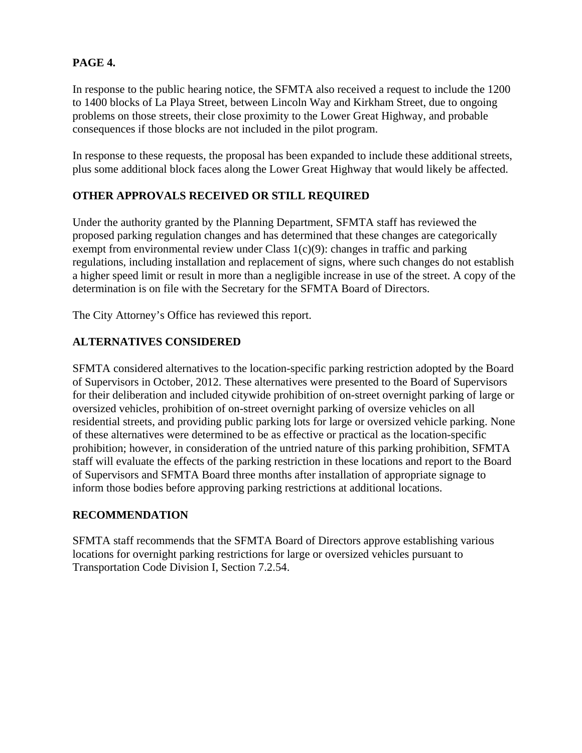# **PAGE 4.**

In response to the public hearing notice, the SFMTA also received a request to include the 1200 to 1400 blocks of La Playa Street, between Lincoln Way and Kirkham Street, due to ongoing problems on those streets, their close proximity to the Lower Great Highway, and probable consequences if those blocks are not included in the pilot program.

In response to these requests, the proposal has been expanded to include these additional streets, plus some additional block faces along the Lower Great Highway that would likely be affected.

# **OTHER APPROVALS RECEIVED OR STILL REQUIRED**

Under the authority granted by the Planning Department, SFMTA staff has reviewed the proposed parking regulation changes and has determined that these changes are categorically exempt from environmental review under Class 1(c)(9): changes in traffic and parking regulations, including installation and replacement of signs, where such changes do not establish a higher speed limit or result in more than a negligible increase in use of the street. A copy of the determination is on file with the Secretary for the SFMTA Board of Directors.

The City Attorney's Office has reviewed this report.

# **ALTERNATIVES CONSIDERED**

SFMTA considered alternatives to the location-specific parking restriction adopted by the Board of Supervisors in October, 2012. These alternatives were presented to the Board of Supervisors for their deliberation and included citywide prohibition of on-street overnight parking of large or oversized vehicles, prohibition of on-street overnight parking of oversize vehicles on all residential streets, and providing public parking lots for large or oversized vehicle parking. None of these alternatives were determined to be as effective or practical as the location-specific prohibition; however, in consideration of the untried nature of this parking prohibition, SFMTA staff will evaluate the effects of the parking restriction in these locations and report to the Board of Supervisors and SFMTA Board three months after installation of appropriate signage to inform those bodies before approving parking restrictions at additional locations.

## **RECOMMENDATION**

SFMTA staff recommends that the SFMTA Board of Directors approve establishing various locations for overnight parking restrictions for large or oversized vehicles pursuant to Transportation Code Division I, Section 7.2.54.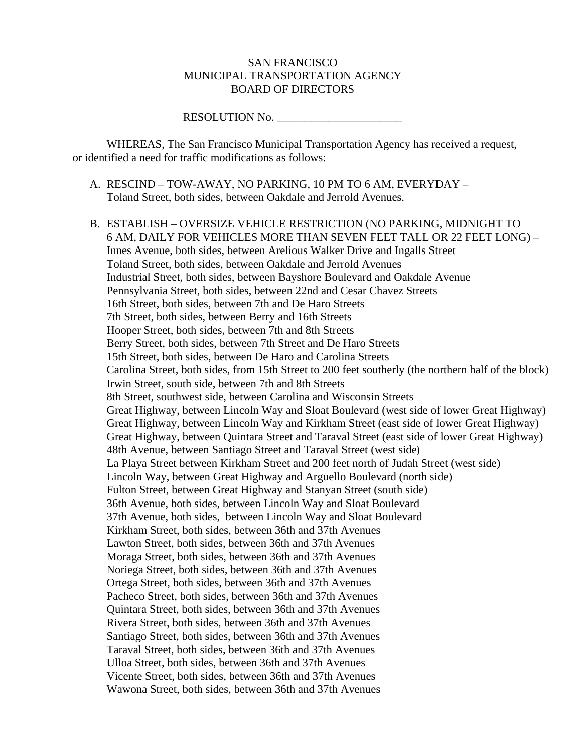### SAN FRANCISCO MUNICIPAL TRANSPORTATION AGENCY BOARD OF DIRECTORS

### RESOLUTION No. \_\_\_\_\_\_\_\_\_\_\_\_\_\_\_\_\_\_\_\_\_\_

 WHEREAS, The San Francisco Municipal Transportation Agency has received a request, or identified a need for traffic modifications as follows:

- A. RESCIND TOW-AWAY, NO PARKING, 10 PM TO 6 AM, EVERYDAY Toland Street, both sides, between Oakdale and Jerrold Avenues.
- B. ESTABLISH OVERSIZE VEHICLE RESTRICTION (NO PARKING, MIDNIGHT TO 6 AM, DAILY FOR VEHICLES MORE THAN SEVEN FEET TALL OR 22 FEET LONG) – Innes Avenue, both sides, between Arelious Walker Drive and Ingalls Street Toland Street, both sides, between Oakdale and Jerrold Avenues Industrial Street, both sides, between Bayshore Boulevard and Oakdale Avenue Pennsylvania Street, both sides, between 22nd and Cesar Chavez Streets 16th Street, both sides, between 7th and De Haro Streets 7th Street, both sides, between Berry and 16th Streets Hooper Street, both sides, between 7th and 8th Streets Berry Street, both sides, between 7th Street and De Haro Streets 15th Street, both sides, between De Haro and Carolina Streets Carolina Street, both sides, from 15th Street to 200 feet southerly (the northern half of the block) Irwin Street, south side, between 7th and 8th Streets 8th Street, southwest side, between Carolina and Wisconsin Streets Great Highway, between Lincoln Way and Sloat Boulevard (west side of lower Great Highway) Great Highway, between Lincoln Way and Kirkham Street (east side of lower Great Highway) Great Highway, between Quintara Street and Taraval Street (east side of lower Great Highway) 48th Avenue, between Santiago Street and Taraval Street (west side) La Playa Street between Kirkham Street and 200 feet north of Judah Street (west side) Lincoln Way, between Great Highway and Arguello Boulevard (north side) Fulton Street, between Great Highway and Stanyan Street (south side) 36th Avenue, both sides, between Lincoln Way and Sloat Boulevard 37th Avenue, both sides, between Lincoln Way and Sloat Boulevard Kirkham Street, both sides, between 36th and 37th Avenues Lawton Street, both sides, between 36th and 37th Avenues Moraga Street, both sides, between 36th and 37th Avenues Noriega Street, both sides, between 36th and 37th Avenues Ortega Street, both sides, between 36th and 37th Avenues Pacheco Street, both sides, between 36th and 37th Avenues Quintara Street, both sides, between 36th and 37th Avenues Rivera Street, both sides, between 36th and 37th Avenues Santiago Street, both sides, between 36th and 37th Avenues Taraval Street, both sides, between 36th and 37th Avenues Ulloa Street, both sides, between 36th and 37th Avenues Vicente Street, both sides, between 36th and 37th Avenues Wawona Street, both sides, between 36th and 37th Avenues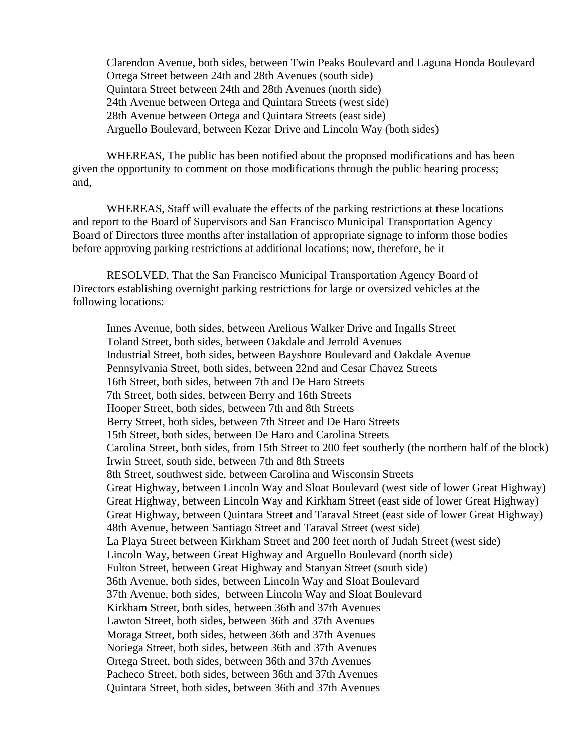Clarendon Avenue, both sides, between Twin Peaks Boulevard and Laguna Honda Boulevard Ortega Street between 24th and 28th Avenues (south side) Quintara Street between 24th and 28th Avenues (north side) 24th Avenue between Ortega and Quintara Streets (west side) 28th Avenue between Ortega and Quintara Streets (east side) Arguello Boulevard, between Kezar Drive and Lincoln Way (both sides)

 WHEREAS, The public has been notified about the proposed modifications and has been given the opportunity to comment on those modifications through the public hearing process; and,

 WHEREAS, Staff will evaluate the effects of the parking restrictions at these locations and report to the Board of Supervisors and San Francisco Municipal Transportation Agency Board of Directors three months after installation of appropriate signage to inform those bodies before approving parking restrictions at additional locations; now, therefore, be it

 RESOLVED, That the San Francisco Municipal Transportation Agency Board of Directors establishing overnight parking restrictions for large or oversized vehicles at the following locations:

Innes Avenue, both sides, between Arelious Walker Drive and Ingalls Street Toland Street, both sides, between Oakdale and Jerrold Avenues Industrial Street, both sides, between Bayshore Boulevard and Oakdale Avenue Pennsylvania Street, both sides, between 22nd and Cesar Chavez Streets 16th Street, both sides, between 7th and De Haro Streets 7th Street, both sides, between Berry and 16th Streets Hooper Street, both sides, between 7th and 8th Streets Berry Street, both sides, between 7th Street and De Haro Streets 15th Street, both sides, between De Haro and Carolina Streets Carolina Street, both sides, from 15th Street to 200 feet southerly (the northern half of the block) Irwin Street, south side, between 7th and 8th Streets 8th Street, southwest side, between Carolina and Wisconsin Streets Great Highway, between Lincoln Way and Sloat Boulevard (west side of lower Great Highway) Great Highway, between Lincoln Way and Kirkham Street (east side of lower Great Highway) Great Highway, between Quintara Street and Taraval Street (east side of lower Great Highway) 48th Avenue, between Santiago Street and Taraval Street (west side) La Playa Street between Kirkham Street and 200 feet north of Judah Street (west side) Lincoln Way, between Great Highway and Arguello Boulevard (north side) Fulton Street, between Great Highway and Stanyan Street (south side) 36th Avenue, both sides, between Lincoln Way and Sloat Boulevard 37th Avenue, both sides, between Lincoln Way and Sloat Boulevard Kirkham Street, both sides, between 36th and 37th Avenues Lawton Street, both sides, between 36th and 37th Avenues Moraga Street, both sides, between 36th and 37th Avenues Noriega Street, both sides, between 36th and 37th Avenues Ortega Street, both sides, between 36th and 37th Avenues Pacheco Street, both sides, between 36th and 37th Avenues Quintara Street, both sides, between 36th and 37th Avenues